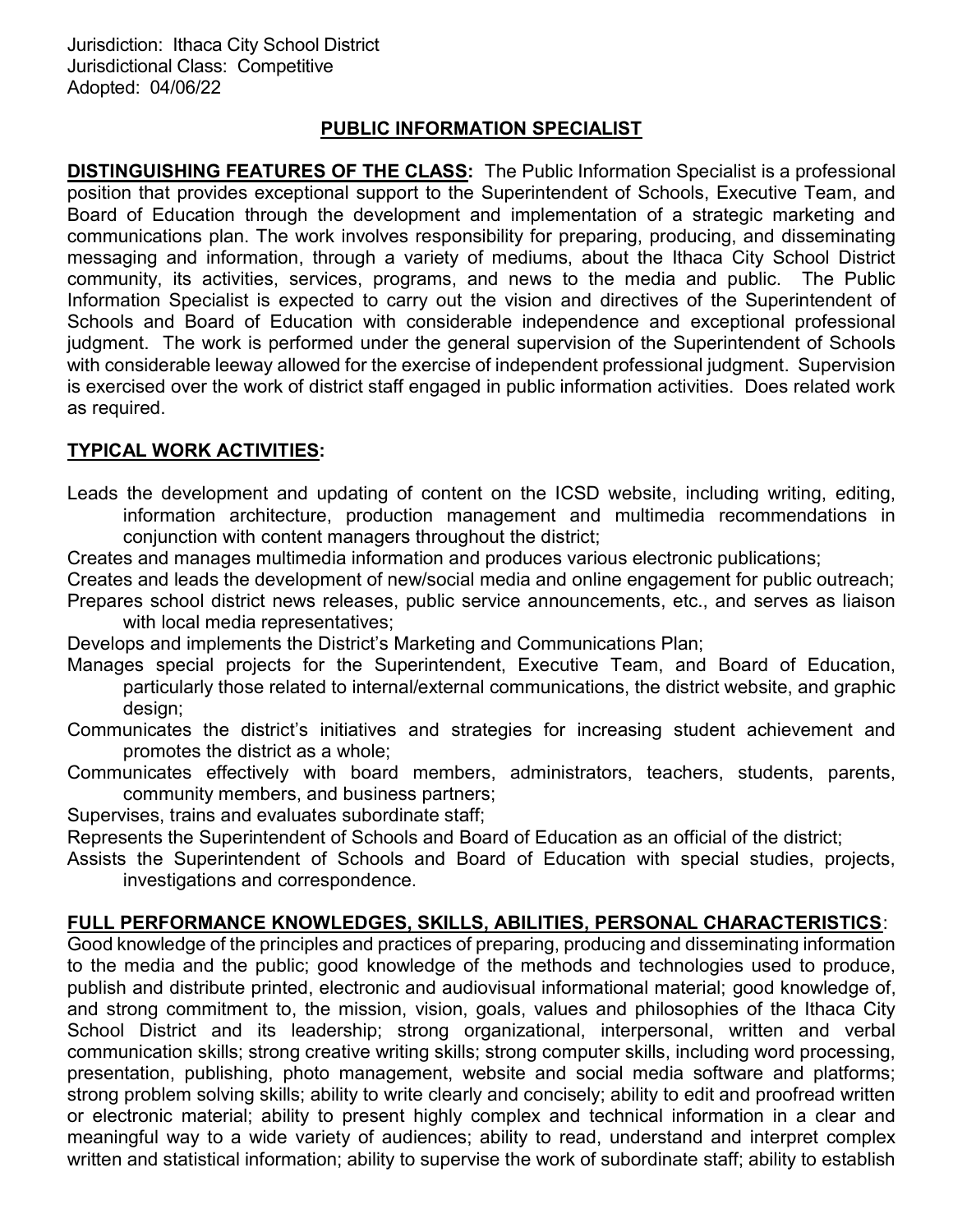### PUBLIC INFORMATION SPECIALIST

DISTINGUISHING FEATURES OF THE CLASS: The Public Information Specialist is a professional position that provides exceptional support to the Superintendent of Schools, Executive Team, and Board of Education through the development and implementation of a strategic marketing and communications plan. The work involves responsibility for preparing, producing, and disseminating messaging and information, through a variety of mediums, about the Ithaca City School District community, its activities, services, programs, and news to the media and public. The Public Information Specialist is expected to carry out the vision and directives of the Superintendent of Schools and Board of Education with considerable independence and exceptional professional judgment. The work is performed under the general supervision of the Superintendent of Schools with considerable leeway allowed for the exercise of independent professional judgment. Supervision is exercised over the work of district staff engaged in public information activities. Does related work as required.

# TYPICAL WORK ACTIVITIES:

- Leads the development and updating of content on the ICSD website, including writing, editing, information architecture, production management and multimedia recommendations in conjunction with content managers throughout the district;
- Creates and manages multimedia information and produces various electronic publications;
- Creates and leads the development of new/social media and online engagement for public outreach; Prepares school district news releases, public service announcements, etc., and serves as liaison with local media representatives;
- Develops and implements the District's Marketing and Communications Plan;
- Manages special projects for the Superintendent, Executive Team, and Board of Education, particularly those related to internal/external communications, the district website, and graphic design;
- Communicates the district's initiatives and strategies for increasing student achievement and promotes the district as a whole;
- Communicates effectively with board members, administrators, teachers, students, parents, community members, and business partners;
- Supervises, trains and evaluates subordinate staff;
- Represents the Superintendent of Schools and Board of Education as an official of the district;
- Assists the Superintendent of Schools and Board of Education with special studies, projects, investigations and correspondence.

### FULL PERFORMANCE KNOWLEDGES, SKILLS, ABILITIES, PERSONAL CHARACTERISTICS:

Good knowledge of the principles and practices of preparing, producing and disseminating information to the media and the public; good knowledge of the methods and technologies used to produce, publish and distribute printed, electronic and audiovisual informational material; good knowledge of, and strong commitment to, the mission, vision, goals, values and philosophies of the Ithaca City School District and its leadership; strong organizational, interpersonal, written and verbal communication skills; strong creative writing skills; strong computer skills, including word processing, presentation, publishing, photo management, website and social media software and platforms; strong problem solving skills; ability to write clearly and concisely; ability to edit and proofread written or electronic material; ability to present highly complex and technical information in a clear and meaningful way to a wide variety of audiences; ability to read, understand and interpret complex written and statistical information; ability to supervise the work of subordinate staff; ability to establish